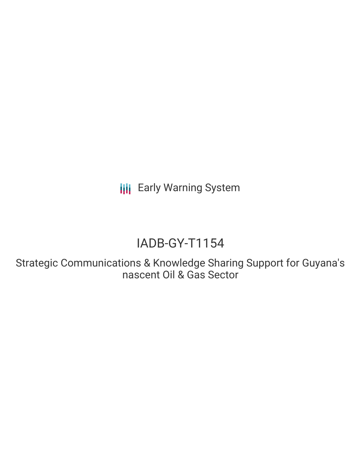**III** Early Warning System

# IADB-GY-T1154

Strategic Communications & Knowledge Sharing Support for Guyana's nascent Oil & Gas Sector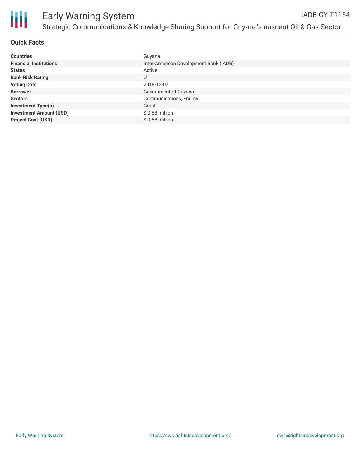

### **Quick Facts**

| <b>Countries</b>               | Guyana                                 |
|--------------------------------|----------------------------------------|
| <b>Financial Institutions</b>  | Inter-American Development Bank (IADB) |
| <b>Status</b>                  | Active                                 |
| <b>Bank Risk Rating</b>        | U                                      |
| <b>Voting Date</b>             | 2018-12-07                             |
| <b>Borrower</b>                | Government of Guyana                   |
| <b>Sectors</b>                 | Communications, Energy                 |
| <b>Investment Type(s)</b>      | Grant                                  |
| <b>Investment Amount (USD)</b> | $$0.58$ million                        |
| <b>Project Cost (USD)</b>      | $$0.58$ million                        |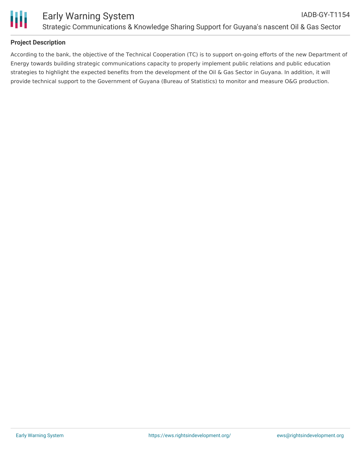

## **Project Description**

According to the bank, the objective of the Technical Cooperation (TC) is to support on-going efforts of the new Department of Energy towards building strategic communications capacity to properly implement public relations and public education strategies to highlight the expected benefits from the development of the Oil & Gas Sector in Guyana. In addition, it will provide technical support to the Government of Guyana (Bureau of Statistics) to monitor and measure O&G production.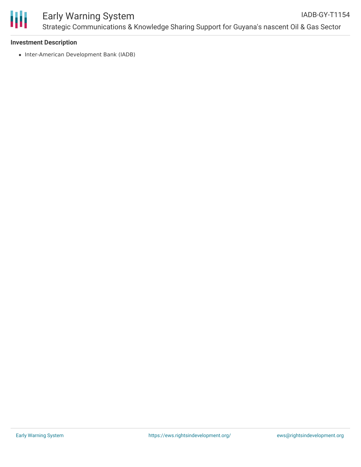

#### **Investment Description**

• Inter-American Development Bank (IADB)